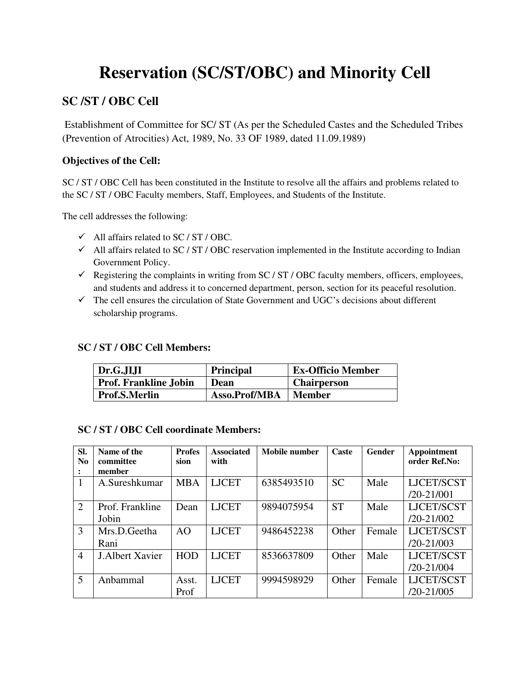# **Reservation (SC/ST/OBC) and Minority Cell**

### **SC /ST / OBC Cell**

Establishment of Committee for SC/ ST (As per the Scheduled Castes and the Scheduled Tribes (Prevention of Atrocities) Act, 1989, No. 33 OF 1989, dated 11.09.1989)

#### **Objectives of the Cell:**

SC / ST / OBC Cell has been constituted in the Institute to resolve all the affairs and problems related to the SC / ST / OBC Faculty members, Staff, Employees, and Students of the Institute.

The cell addresses the following:

- $\checkmark$  All affairs related to SC / ST / OBC.
- $\checkmark$  All affairs related to SC / ST / OBC reservation implemented in the Institute according to Indian Government Policy.
- Registering the complaints in writing from SC / ST / OBC faculty members, officers, employees, and students and address it to concerned department, person, section for its peaceful resolution.
- $\checkmark$  The cell ensures the circulation of State Government and UGC's decisions about different scholarship programs.

#### **SC / ST / OBC Cell Members:**

| $\vert$ Dr.G.JIJI            | <b>Principal</b> | <b>Ex-Officio Member</b> |
|------------------------------|------------------|--------------------------|
| <b>Prof. Frankline Jobin</b> | Dean             | <b>Chairperson</b>       |
| Prof.S.Merlin                | Asso.Prof/MBA    | Member                   |

#### **SC / ST / OBC Cell coordinate Members:**

| Sl.<br>N <sub>0</sub> | Name of the<br>committee<br>member | <b>Profes</b><br>sion | <b>Associated</b><br>with | Mobile number | <b>Caste</b> | <b>Gender</b> | Appointment<br>order Ref.No: |
|-----------------------|------------------------------------|-----------------------|---------------------------|---------------|--------------|---------------|------------------------------|
|                       | A.Sureshkumar                      | <b>MBA</b>            | <b>LJCET</b>              | 6385493510    | <b>SC</b>    | Male          | LJCET/SCST<br>$/20 - 21/001$ |
| 2                     | Prof. Frankline<br>Jobin           | Dean                  | <b>LJCET</b>              | 9894075954    | <b>ST</b>    | Male          | LJCET/SCST<br>$/20 - 21/002$ |
| 3                     | Mrs.D.Geetha<br>Rani               | A <sub>O</sub>        | <b>LJCET</b>              | 9486452238    | Other        | Female        | LJCET/SCST<br>$/20 - 21/003$ |
| $\overline{4}$        | <b>J.Albert Xavier</b>             | <b>HOD</b>            | <b>LJCET</b>              | 8536637809    | Other        | Male          | LJCET/SCST<br>$/20 - 21/004$ |
| 5                     | Anbammal                           | Asst.<br>Prof         | <b>LJCET</b>              | 9994598929    | Other        | Female        | LJCET/SCST<br>$/20 - 21/005$ |